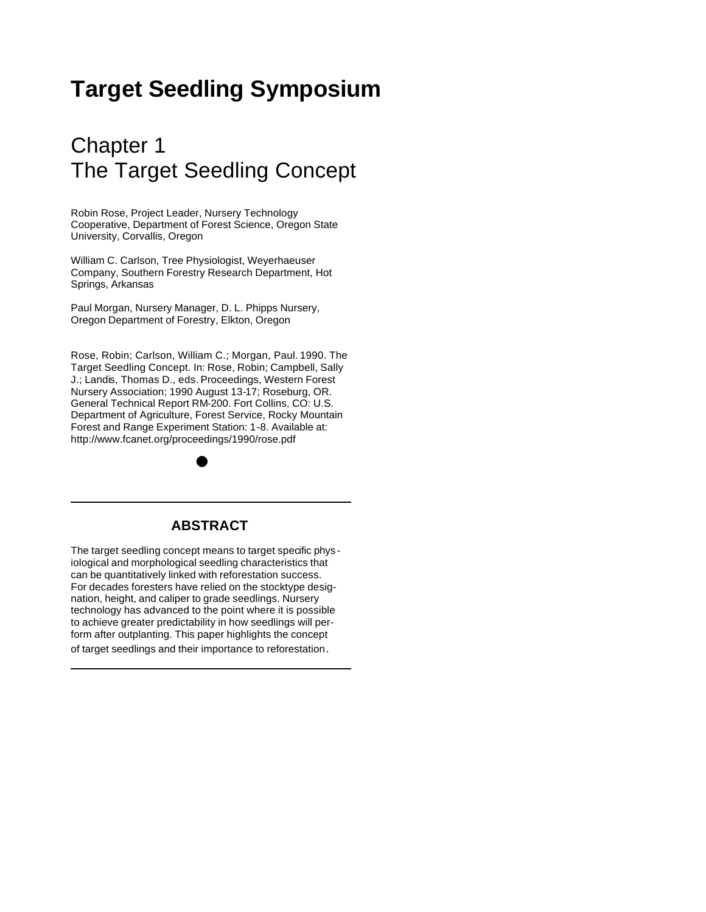# **Target Seedling Symposium**

# Chapter 1 The Target Seedling Concept

Robin Rose, Project Leader, Nursery Technology Cooperative, Department of Forest Science, Oregon State University, Corvallis, Oregon

William C. Carlson, Tree Physiologist, Weyerhaeuser Company, Southern Forestry Research Department, Hot Springs, Arkansas

Paul Morgan, Nursery Manager, D. L. Phipps Nursery, Oregon Department of Forestry, Elkton, Oregon

Rose, Robin; Carlson, William C.; Morgan, Paul. 1990. The Target Seedling Concept. In: Rose, Robin; Campbell, Sally J.; Landis, Thomas D., eds. Proceedings, Western Forest Nursery Association; 1990 August 13-17; Roseburg, OR. General Technical Report RM-200. Fort Collins, CO: U.S. Department of Agriculture, Forest Service, Rocky Mountain Forest and Range Experiment Station: 1-8. Available at: http://www.fcanet.org/proceedings/1990/rose.pdf

# **ABSTRACT**

The target seedling concept means to target specific phys iological and morphological seedling characteristics that can be quantitatively linked with reforestation success. For decades foresters have relied on the stocktype designation, height, and caliper to grade seedlings. Nursery technology has advanced to the point where it is possible to achieve greater predictability in how seedlings will perform after outplanting. This paper highlights the concept of target seedlings and their importance to reforestation.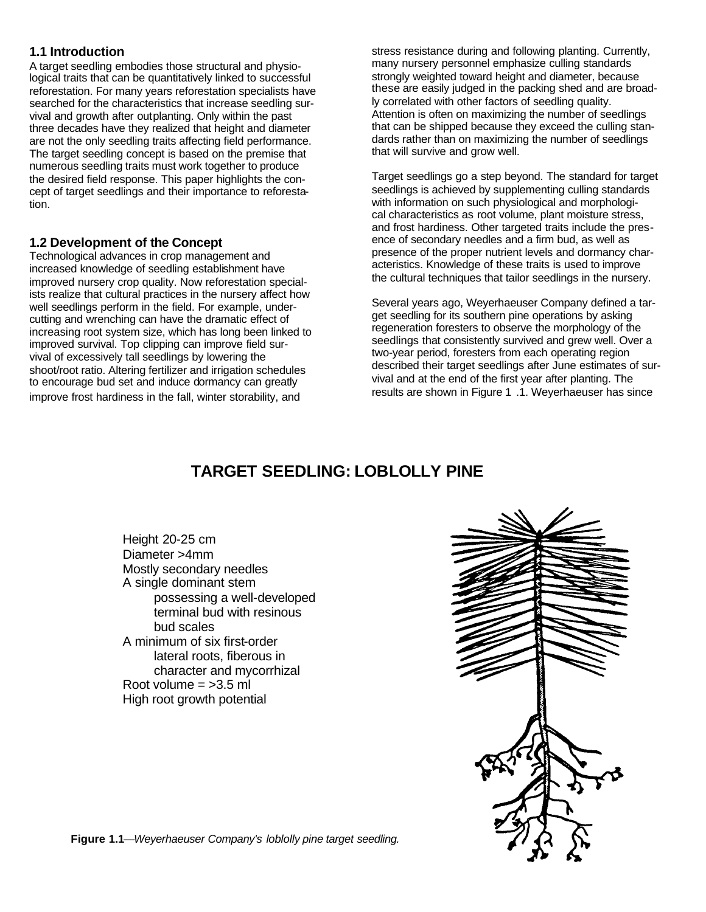## **1.1 Introduction**

A target seedling embodies those structural and physiological traits that can be quantitatively linked to successful reforestation. For many years reforestation specialists have searched for the characteristics that increase seedling survival and growth after outplanting. Only within the past three decades have they realized that height and diameter are not the only seedling traits affecting field performance. The target seedling concept is based on the premise that numerous seedling traits must work together to produce the desired field response. This paper highlights the concept of target seedlings and their importance to reforestation.

### **1.2 Development of the Concept**

Technological advances in crop management and increased knowledge of seedling establishment have improved nursery crop quality. Now reforestation specialists realize that cultural practices in the nursery affect how well seedlings perform in the field. For example, undercutting and wrenching can have the dramatic effect of increasing root system size, which has long been linked to improved survival. Top clipping can improve field survival of excessively tall seedlings by lowering the shoot/root ratio. Altering fertilizer and irrigation schedules to encourage bud set and induce dormancy can greatly improve frost hardiness in the fall, winter storability, and

stress resistance during and following planting. Currently, many nursery personnel emphasize culling standards strongly weighted toward height and diameter, because these are easily judged in the packing shed and are broadly correlated with other factors of seedling quality. Attention is often on maximizing the number of seedlings that can be shipped because they exceed the culling standards rather than on maximizing the number of seedlings that will survive and grow well.

Target seedlings go a step beyond. The standard for target seedlings is achieved by supplementing culling standards with information on such physiological and morphological characteristics as root volume, plant moisture stress, and frost hardiness. Other targeted traits include the presence of secondary needles and a firm bud, as well as presence of the proper nutrient levels and dormancy characteristics. Knowledge of these traits is used to improve the cultural techniques that tailor seedlings in the nursery.

Several years ago, Weyerhaeuser Company defined a target seedling for its southern pine operations by asking regeneration foresters to observe the morphology of the seedlings that consistently survived and grew well. Over a two-year period, foresters from each operating region described their target seedlings after June estimates of survival and at the end of the first year after planting. The results are shown in Figure 1 .1. Weyerhaeuser has since

# **TARGET SEEDLING: LOBLOLLY PINE**

Height 20-25 cm Diameter >4mm Mostly secondary needles A single dominant stem possessing a well-developed terminal bud with resinous bud scales A minimum of six first-order lateral roots, fiberous in character and mycorrhizal Root volume  $=$  >3.5 ml High root growth potential



**Figure 1.1***—Weyerhaeuser Company's loblolly pine target seedling.*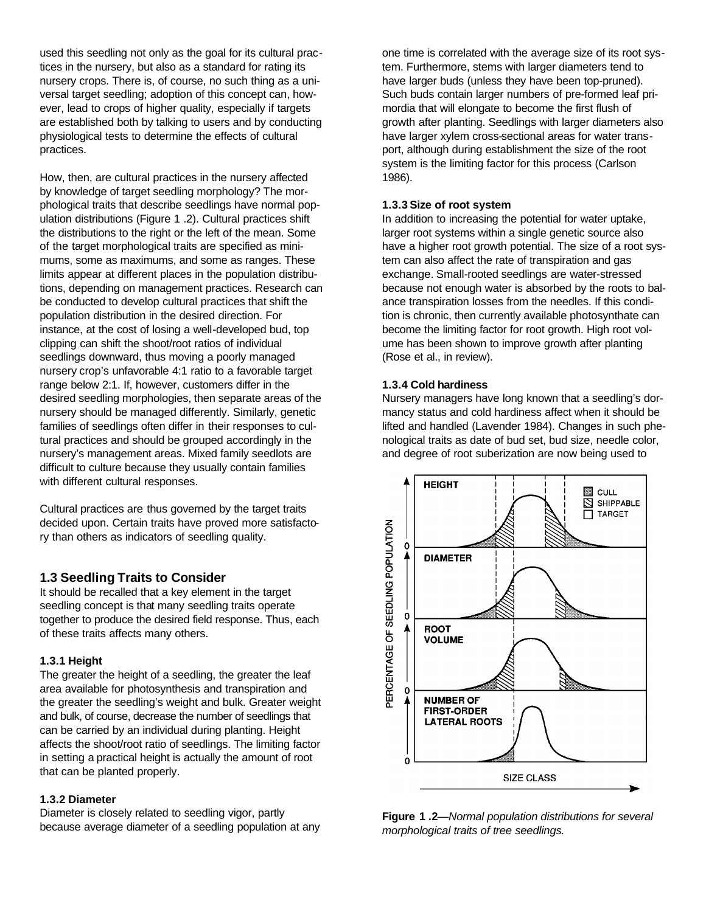used this seedling not only as the goal for its cultural practices in the nursery, but also as a standard for rating its nursery crops. There is, of course, no such thing as a universal target seedling; adoption of this concept can, however, lead to crops of higher quality, especially if targets are established both by talking to users and by conducting physiological tests to determine the effects of cultural practices.

How, then, are cultural practices in the nursery affected by knowledge of target seedling morphology? The morphological traits that describe seedlings have normal population distributions (Figure 1 .2). Cultural practices shift the distributions to the right or the left of the mean. Some of the target morphological traits are specified as minimums, some as maximums, and some as ranges. These limits appear at different places in the population distributions, depending on management practices. Research can be conducted to develop cultural practices that shift the population distribution in the desired direction. For instance, at the cost of losing a well-developed bud, top clipping can shift the shoot/root ratios of individual seedlings downward, thus moving a poorly managed nursery crop's unfavorable 4:1 ratio to a favorable target range below 2:1. If, however, customers differ in the desired seedling morphologies, then separate areas of the nursery should be managed differently. Similarly, genetic families of seedlings often differ in their responses to cultural practices and should be grouped accordingly in the nursery's management areas. Mixed family seedlots are difficult to culture because they usually contain families with different cultural responses.

Cultural practices are thus governed by the target traits decided upon. Certain traits have proved more satisfactory than others as indicators of seedling quality.

#### **1.3 Seedling Traits to Consider**

It should be recalled that a key element in the target seedling concept is that many seedling traits operate together to produce the desired field response. Thus, each of these traits affects many others.

#### **1.3.1 Height**

The greater the height of a seedling, the greater the leaf area available for photosynthesis and transpiration and the greater the seedling's weight and bulk. Greater weight and bulk, of course, decrease the number of seedlings that can be carried by an individual during planting. Height affects the shoot/root ratio of seedlings. The limiting factor in setting a practical height is actually the amount of root that can be planted properly.

#### **1.3.2 Diameter**

Diameter is closely related to seedling vigor, partly because average diameter of a seedling population at any one time is correlated with the average size of its root system. Furthermore, stems with larger diameters tend to have larger buds (unless they have been top-pruned). Such buds contain larger numbers of pre-formed leaf primordia that will elongate to become the first flush of growth after planting. Seedlings with larger diameters also have larger xylem cross-sectional areas for water transport, although during establishment the size of the root system is the limiting factor for this process (Carlson 1986).

#### **1.3.3 Size of root system**

In addition to increasing the potential for water uptake, larger root systems within a single genetic source also have a higher root growth potential. The size of a root system can also affect the rate of transpiration and gas exchange. Small-rooted seedlings are water-stressed because not enough water is absorbed by the roots to balance transpiration losses from the needles. If this condition is chronic, then currently available photosynthate can become the limiting factor for root growth. High root volume has been shown to improve growth after planting (Rose et al., in review).

#### **1.3.4 Cold hardiness**

Nursery managers have long known that a seedling's dormancy status and cold hardiness affect when it should be lifted and handled (Lavender 1984). Changes in such phenological traits as date of bud set, bud size, needle color, and degree of root suberization are now being used to



**Figure 1 .2**—*Normal population distributions for several morphological traits of tree seedlings.*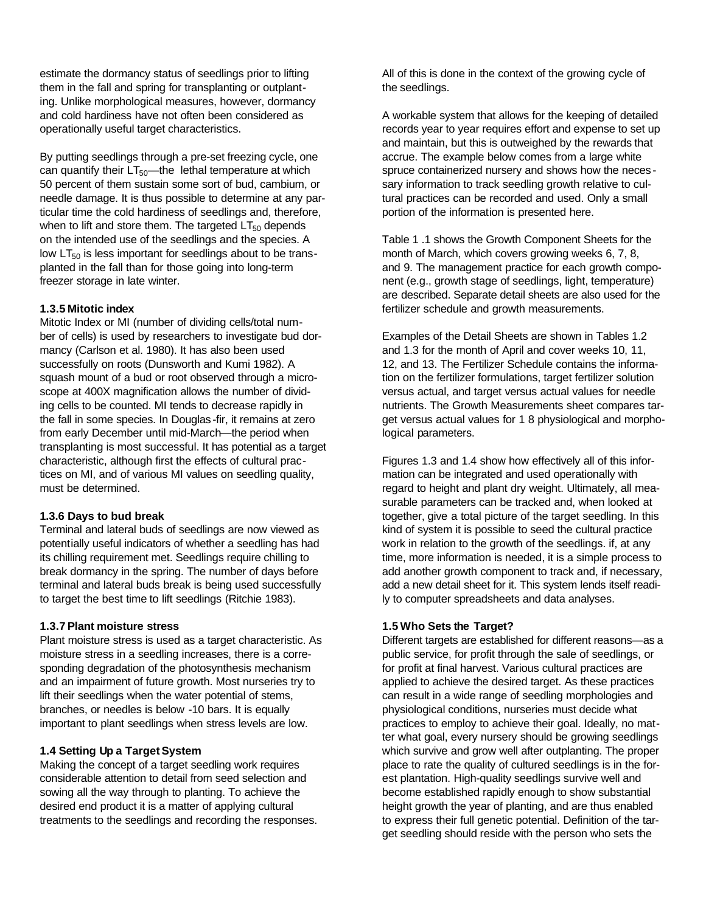estimate the dormancy status of seedlings prior to lifting them in the fall and spring for transplanting or outplanting. Unlike morphological measures, however, dormancy and cold hardiness have not often been considered as operationally useful target characteristics.

By putting seedlings through a pre-set freezing cycle, one can quantify their  $LT_{50}$ —the lethal temperature at which 50 percent of them sustain some sort of bud, cambium, or needle damage. It is thus possible to determine at any particular time the cold hardiness of seedlings and, therefore, when to lift and store them. The targeted  $LT_{50}$  depends on the intended use of the seedlings and the species. A low  $LT_{50}$  is less important for seedlings about to be transplanted in the fall than for those going into long-term freezer storage in late winter.

#### **1.3.5 Mitotic index**

Mitotic Index or MI (number of dividing cells/total number of cells) is used by researchers to investigate bud dormancy (Carlson et al. 1980). It has also been used successfully on roots (Dunsworth and Kumi 1982). A squash mount of a bud or root observed through a microscope at 400X magnification allows the number of dividing cells to be counted. MI tends to decrease rapidly in the fall in some species. In Douglas -fir, it remains at zero from early December until mid-March—the period when transplanting is most successful. It has potential as a target characteristic, although first the effects of cultural practices on MI, and of various MI values on seedling quality, must be determined.

#### **1.3.6 Days to bud break**

Terminal and lateral buds of seedlings are now viewed as potentially useful indicators of whether a seedling has had its chilling requirement met. Seedlings require chilling to break dormancy in the spring. The number of days before terminal and lateral buds break is being used successfully to target the best time to lift seedlings (Ritchie 1983).

#### **1.3.7 Plant moisture stress**

Plant moisture stress is used as a target characteristic. As moisture stress in a seedling increases, there is a corresponding degradation of the photosynthesis mechanism and an impairment of future growth. Most nurseries try to lift their seedlings when the water potential of stems, branches, or needles is below -10 bars. It is equally important to plant seedlings when stress levels are low.

#### **1.4 Setting Up a TargetSystem**

Making the concept of a target seedling work requires considerable attention to detail from seed selection and sowing all the way through to planting. To achieve the desired end product it is a matter of applying cultural treatments to the seedlings and recording the responses. All of this is done in the context of the growing cycle of the seedlings.

A workable system that allows for the keeping of detailed records year to year requires effort and expense to set up and maintain, but this is outweighed by the rewards that accrue. The example below comes from a large white spruce containerized nursery and shows how the neces sary information to track seedling growth relative to cultural practices can be recorded and used. Only a small portion of the information is presented here.

Table 1 .1 shows the Growth Component Sheets for the month of March, which covers growing weeks 6, 7, 8, and 9. The management practice for each growth component (e.g., growth stage of seedlings, light, temperature) are described. Separate detail sheets are also used for the fertilizer schedule and growth measurements.

Examples of the Detail Sheets are shown in Tables 1.2 and 1.3 for the month of April and cover weeks 10, 11, 12, and 13. The Fertilizer Schedule contains the information on the fertilizer formulations, target fertilizer solution versus actual, and target versus actual values for needle nutrients. The Growth Measurements sheet compares target versus actual values for 1 8 physiological and morphological parameters.

Figures 1.3 and 1.4 show how effectively all of this information can be integrated and used operationally with regard to height and plant dry weight. Ultimately, all measurable parameters can be tracked and, when looked at together, give a total picture of the target seedling. In this kind of system it is possible to seed the cultural practice work in relation to the growth of the seedlings. if, at any time, more information is needed, it is a simple process to add another growth component to track and, if necessary, add a new detail sheet for it. This system lends itself readily to computer spreadsheets and data analyses.

#### **1.5 Who Sets the Target?**

Different targets are established for different reasons—as a public service, for profit through the sale of seedlings, or for profit at final harvest. Various cultural practices are applied to achieve the desired target. As these practices can result in a wide range of seedling morphologies and physiological conditions, nurseries must decide what practices to employ to achieve their goal. Ideally, no matter what goal, every nursery should be growing seedlings which survive and grow well after outplanting. The proper place to rate the quality of cultured seedlings is in the forest plantation. High-quality seedlings survive well and become established rapidly enough to show substantial height growth the year of planting, and are thus enabled to express their full genetic potential. Definition of the target seedling should reside with the person who sets the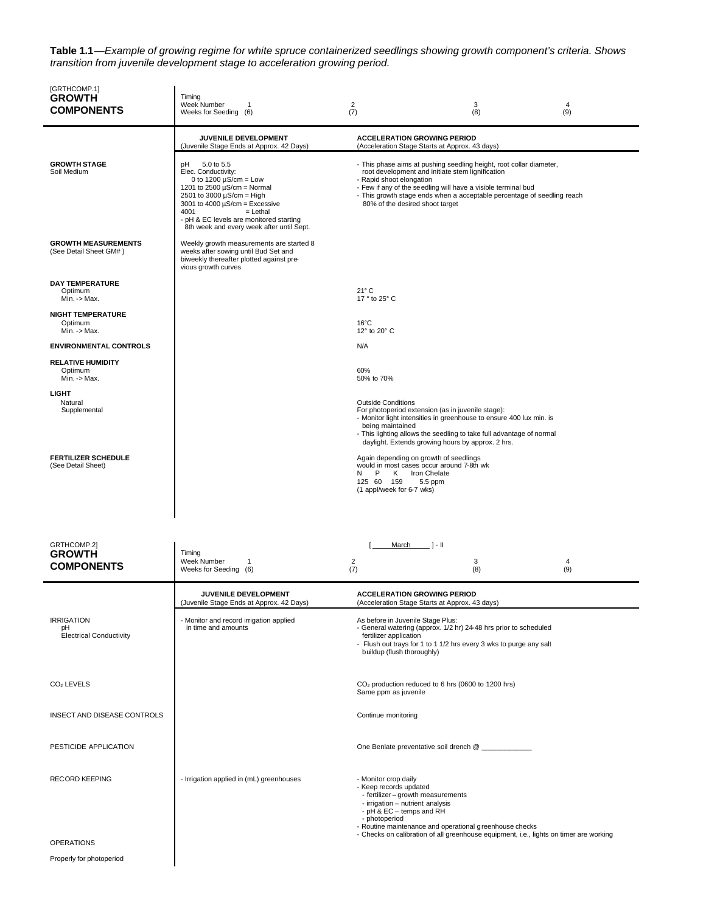**Table 1.1**—*Example of growing regime for white spruce containerized seedlings showing growth component's criteria. Shows transition from juvenile development stage to acceleration growing period.*

| [GRTHCOMP.1]<br><b>GROWTH</b><br>COMPONENTS               | Timing<br>Week Number<br>1<br>Weeks for Seeding (6)                                                                                                                                                                                                                                              | $\overline{\mathbf{c}}$<br>(7)                                                                                                                                                                                                                                                                                                     | 3<br>(8) | 4<br>(9)                                                                               |  |  |  |
|-----------------------------------------------------------|--------------------------------------------------------------------------------------------------------------------------------------------------------------------------------------------------------------------------------------------------------------------------------------------------|------------------------------------------------------------------------------------------------------------------------------------------------------------------------------------------------------------------------------------------------------------------------------------------------------------------------------------|----------|----------------------------------------------------------------------------------------|--|--|--|
|                                                           | JUVENILE DEVELOPMENT<br>(Juvenile Stage Ends at Approx. 42 Days)                                                                                                                                                                                                                                 | <b>ACCELERATION GROWING PERIOD</b><br>(Acceleration Stage Starts at Approx. 43 days)                                                                                                                                                                                                                                               |          |                                                                                        |  |  |  |
| <b>GROWTH STAGE</b><br>Soil Medium                        | 5.0 to 5.5<br>рH<br>Elec. Conductivity:<br>0 to 1200 $\mu$ S/cm = Low<br>1201 to 2500 $\mu$ S/cm = Normal<br>2501 to 3000 $\mu$ S/cm = High<br>3001 to 4000 $\mu$ S/cm = Excessive<br>4001<br>$=$ Lethal<br>- pH & EC levels are monitored starting<br>8th week and every week after until Sept. | - This phase aims at pushing seedling height, root collar diameter,<br>root development and initiate stem lignification<br>- Rapid shoot elongation<br>- Few if any of the seedling will have a visible terminal bud<br>- This growth stage ends when a acceptable percentage of seedling reach<br>80% of the desired shoot target |          |                                                                                        |  |  |  |
| <b>GROWTH MEASUREMENTS</b><br>(See Detail Sheet GM#)      | Weekly growth measurements are started 8<br>weeks after sowing until Bud Set and<br>biweekly thereafter plotted against pre-<br>vious growth curves                                                                                                                                              |                                                                                                                                                                                                                                                                                                                                    |          |                                                                                        |  |  |  |
| <b>DAY TEMPERATURE</b><br>Optimum<br>$Min. <$ Max.        |                                                                                                                                                                                                                                                                                                  | $21^{\circ}$ C<br>17 ° to 25° C                                                                                                                                                                                                                                                                                                    |          |                                                                                        |  |  |  |
| <b>NIGHT TEMPERATURE</b><br>Optimum<br>Min. -> Max.       |                                                                                                                                                                                                                                                                                                  | $16^{\circ}$ C<br>12° to 20° C                                                                                                                                                                                                                                                                                                     |          |                                                                                        |  |  |  |
| <b>ENVIRONMENTAL CONTROLS</b>                             |                                                                                                                                                                                                                                                                                                  | N/A                                                                                                                                                                                                                                                                                                                                |          |                                                                                        |  |  |  |
| <b>RELATIVE HUMIDITY</b><br>Optimum<br>$Min. <$ Max.      |                                                                                                                                                                                                                                                                                                  | 60%<br>50% to 70%                                                                                                                                                                                                                                                                                                                  |          |                                                                                        |  |  |  |
| <b>LIGHT</b><br>Natural<br>Supplemental                   |                                                                                                                                                                                                                                                                                                  | <b>Outside Conditions</b><br>For photoperiod extension (as in juvenile stage):<br>- Monitor light intensities in greenhouse to ensure 400 lux min. is<br>being maintained<br>- This lighting allows the seedling to take full advantage of normal<br>daylight. Extends growing hours by approx. 2 hrs.                             |          |                                                                                        |  |  |  |
| <b>FERTILIZER SCHEDULE</b><br>(See Detail Sheet)          |                                                                                                                                                                                                                                                                                                  | Again depending on growth of seedlings<br>would in most cases occur around 7-8th wk<br>P<br>K<br>N<br>Iron Chelate<br>5.5 ppm<br>125 60 159<br>(1 appl/week for 6-7 wks)                                                                                                                                                           |          |                                                                                        |  |  |  |
| GRTHCOMP.2]<br><b>GROWTH</b>                              | Timing                                                                                                                                                                                                                                                                                           | March<br>$1 - 11$                                                                                                                                                                                                                                                                                                                  |          |                                                                                        |  |  |  |
| COMPONENTS                                                | Week Number<br>1<br>Weeks for Seeding (6)                                                                                                                                                                                                                                                        | $\overline{c}$<br>(7)                                                                                                                                                                                                                                                                                                              | 3<br>(8) | 4<br>(9)                                                                               |  |  |  |
|                                                           | JUVENILE DEVELOPMENT<br>(Juvenile Stage Ends at Approx. 42 Days)                                                                                                                                                                                                                                 | <b>ACCELERATION GROWING PERIOD</b><br>(Acceleration Stage Starts at Approx. 43 days)                                                                                                                                                                                                                                               |          |                                                                                        |  |  |  |
| <b>IRRIGATION</b><br>рH<br><b>Electrical Conductivity</b> | - Monitor and record irrigation applied<br>in time and amounts                                                                                                                                                                                                                                   | As before in Juvenile Stage Plus:<br>- General watering (approx. 1/2 hr) 24-48 hrs prior to scheduled<br>fertilizer application<br>- Flush out trays for 1 to 1 1/2 hrs every 3 wks to purge any salt<br>buildup (flush thoroughly)                                                                                                |          |                                                                                        |  |  |  |
| $CO2$ LEVELS                                              |                                                                                                                                                                                                                                                                                                  | CO <sub>2</sub> production reduced to 6 hrs (0600 to 1200 hrs)<br>Same ppm as juvenile                                                                                                                                                                                                                                             |          |                                                                                        |  |  |  |
| INSECT AND DISEASE CONTROLS                               |                                                                                                                                                                                                                                                                                                  | Continue monitoring                                                                                                                                                                                                                                                                                                                |          |                                                                                        |  |  |  |
| PESTICIDE APPLICATION                                     |                                                                                                                                                                                                                                                                                                  | One Benlate preventative soil drench @                                                                                                                                                                                                                                                                                             |          |                                                                                        |  |  |  |
| <b>RECORD KEEPING</b>                                     | - Irrigation applied in (mL) greenhouses                                                                                                                                                                                                                                                         | - Monitor crop daily<br>- Keep records updated<br>- fertilizer - growth measurements<br>- irrigation - nutrient analysis<br>- pH & EC - temps and RH<br>- photoperiod<br>- Routine maintenance and operational greenhouse checks                                                                                                   |          | - Checks on calibration of all greenhouse equipment, i.e., lights on timer are working |  |  |  |
| <b>OPERATIONS</b>                                         |                                                                                                                                                                                                                                                                                                  |                                                                                                                                                                                                                                                                                                                                    |          |                                                                                        |  |  |  |
| Properly for photoperiod                                  |                                                                                                                                                                                                                                                                                                  |                                                                                                                                                                                                                                                                                                                                    |          |                                                                                        |  |  |  |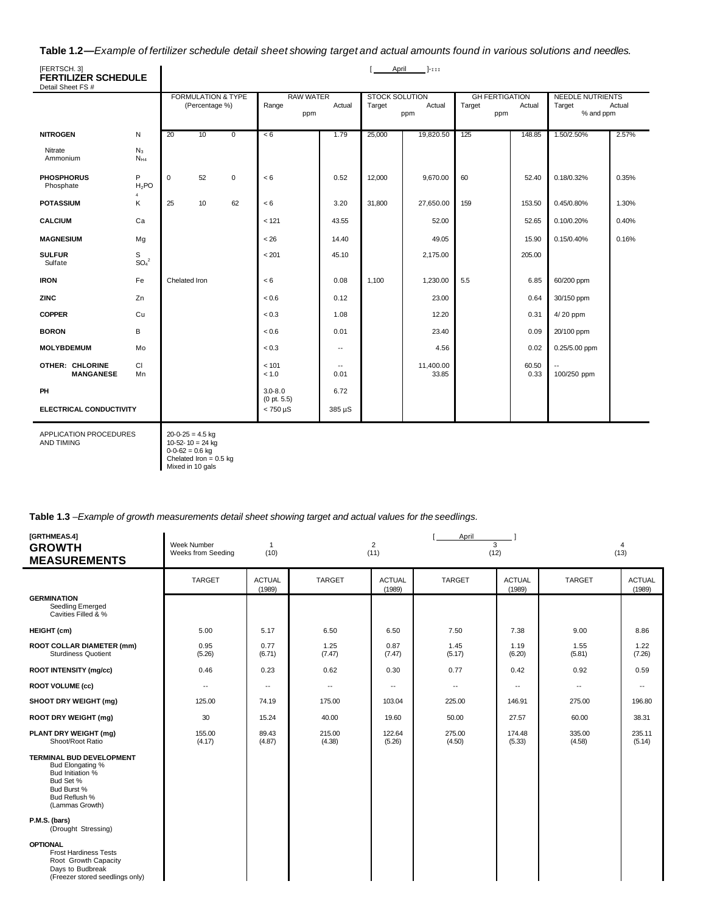#### Table 1.2-Example of fertilizer schedule detail sheet showing target and actual amounts found in various solutions and needles.

| [FERTSCH. 3]<br><b>FERTILIZER SCHEDULE</b> |                                   |               |                                                 |    |                                  |                                  | April                           | $1 - 111$          |        |                                        |                                                |        |
|--------------------------------------------|-----------------------------------|---------------|-------------------------------------------------|----|----------------------------------|----------------------------------|---------------------------------|--------------------|--------|----------------------------------------|------------------------------------------------|--------|
| Detail Sheet FS #                          |                                   |               | <b>FORMULATION &amp; TYPE</b><br>(Percentage %) |    | <b>RAW WATER</b><br>Range<br>ppm | Actual                           | <b>STOCK SOLUTION</b><br>Target | Actual<br>ppm      | Target | <b>GH FERTIGATION</b><br>Actual<br>ppm | <b>NEEDLE NUTRIENTS</b><br>Target<br>% and ppm | Actual |
| <b>NITROGEN</b>                            | Ν                                 | 20            | 10                                              | 0  | < 6                              | 1.79                             | 25,000                          | 19,820.50          | 125    | 148.85                                 | 1.50/2.50%                                     | 2.57%  |
| Nitrate<br>Ammonium                        | $N_3$<br>$N_{H4}$                 |               |                                                 |    |                                  |                                  |                                 |                    |        |                                        |                                                |        |
| <b>PHOSPHORUS</b><br>Phosphate             | P<br>$H_2$ PO                     | $\mathbf 0$   | 52                                              | 0  | < 6                              | 0.52                             | 12,000                          | 9,670.00           | 60     | 52.40                                  | 0.18/0.32%                                     | 0.35%  |
| <b>POTASSIUM</b>                           | K                                 | 25            | 10                                              | 62 | < 6                              | 3.20                             | 31,800                          | 27,650.00          | 159    | 153.50                                 | 0.45/0.80%                                     | 1.30%  |
| <b>CALCIUM</b>                             | Ca                                |               |                                                 |    | < 121                            | 43.55                            |                                 | 52.00              |        | 52.65                                  | 0.10/0.20%                                     | 0.40%  |
| <b>MAGNESIUM</b>                           | Mg                                |               |                                                 |    | < 26                             | 14.40                            |                                 | 49.05              |        | 15.90                                  | 0.15/0.40%                                     | 0.16%  |
| <b>SULFUR</b><br>Sulfate                   | s<br>SO <sub>a</sub> <sup>2</sup> |               |                                                 |    | < 201                            | 45.10                            |                                 | 2,175.00           |        | 205.00                                 |                                                |        |
| <b>IRON</b>                                | Fe                                | Chelated Iron |                                                 |    | < 6                              | 0.08                             | 1,100                           | 1,230.00           | 5.5    | 6.85                                   | 60/200 ppm                                     |        |
| <b>ZINC</b>                                | Zn                                |               |                                                 |    | < 0.6                            | 0.12                             |                                 | 23.00              |        | 0.64                                   | 30/150 ppm                                     |        |
| <b>COPPER</b>                              | Cu                                |               |                                                 |    | < 0.3                            | 1.08                             |                                 | 12.20              |        | 0.31                                   | 4/20 ppm                                       |        |
| <b>BORON</b>                               | в                                 |               |                                                 |    | < 0.6                            | 0.01                             |                                 | 23.40              |        | 0.09                                   | 20/100 ppm                                     |        |
| <b>MOLYBDEMUM</b>                          | Mo                                |               |                                                 |    | < 0.3                            | $\overline{\phantom{a}}$         |                                 | 4.56               |        | 0.02                                   | 0.25/5.00 ppm                                  |        |
| <b>OTHER: CHLORINE</b><br><b>MANGANESE</b> | CI<br>Mn                          |               |                                                 |    | < 101<br>< 1.0                   | $\overline{\phantom{a}}$<br>0.01 |                                 | 11,400.00<br>33.85 |        | 60.50<br>0.33                          | 100/250 ppm                                    |        |
| PH                                         |                                   |               |                                                 |    | $3.0 - 8.0$                      | 6.72                             |                                 |                    |        |                                        |                                                |        |
| ELECTRICAL CONDUCTIVITY                    |                                   |               |                                                 |    | (0 pt. 5.5)<br>$< 750 \mu S$     | 385 µS                           |                                 |                    |        |                                        |                                                |        |

APPLICATION PROCEDURES AND TIMING

 $20 - 0 - 25 = 4.5$  kg

10-52- 10 = 24 kg 0-0-62 = 0.6 kg Chelated Iron = 0.5 kg Mixed in 10 gals

**Table 1.3** –*Example of growth measurements detail sheet showing target and actual values for the seedlings.*

| [GRTHMEAS.4]<br><b>GROWTH</b><br><b>MEASUREMENTS</b>                                                                                    | Week Number<br>Weeks from Seeding | $\mathbf{1}$<br>(10)     |                          | 2<br>(11)               | April            | 3<br>(12)                |                          | $\overline{4}$<br>(13)   |
|-----------------------------------------------------------------------------------------------------------------------------------------|-----------------------------------|--------------------------|--------------------------|-------------------------|------------------|--------------------------|--------------------------|--------------------------|
|                                                                                                                                         | <b>TARGET</b>                     | <b>ACTUAL</b><br>(1989)  | <b>TARGET</b>            | <b>ACTUAL</b><br>(1989) | <b>TARGET</b>    | <b>ACTUAL</b><br>(1989)  | <b>TARGET</b>            | <b>ACTUAL</b><br>(1989)  |
| <b>GERMINATION</b><br>Seedling Emerged<br>Cavities Filled & %                                                                           |                                   |                          |                          |                         |                  |                          |                          |                          |
| <b>HEIGHT</b> (cm)                                                                                                                      | 5.00                              | 5.17                     | 6.50                     | 6.50                    | 7.50             | 7.38                     | 9.00                     | 8.86                     |
| <b>ROOT COLLAR DIAMETER (mm)</b><br><b>Sturdiness Quotient</b>                                                                          | 0.95<br>(5.26)                    | 0.77<br>(6.71)           | 1.25<br>(7.47)           | 0.87<br>(7.47)          | 1.45<br>(5.17)   | 1.19<br>(6.20)           | 1.55<br>(5.81)           | 1.22<br>(7.26)           |
| <b>ROOT INTENSITY (mg/cc)</b>                                                                                                           | 0.46                              | 0.23                     | 0.62                     | 0.30                    | 0.77             | 0.42                     | 0.92                     | 0.59                     |
| <b>ROOT VOLUME (cc)</b>                                                                                                                 | ۰.                                | $\overline{\phantom{a}}$ | $\overline{\phantom{a}}$ | ۰.                      | --               | $\overline{\phantom{a}}$ | $\overline{\phantom{a}}$ | $\overline{\phantom{a}}$ |
| SHOOT DRY WEIGHT (mg)                                                                                                                   | 125.00                            | 74.19                    | 175.00                   | 103.04                  | 225.00           | 146.91                   | 275.00                   | 196.80                   |
| <b>ROOT DRY WEIGHT (mg)</b>                                                                                                             | 30                                | 15.24                    | 40.00                    | 19.60                   | 50.00            | 27.57                    | 60.00                    | 38.31                    |
| PLANT DRY WEIGHT (mg)<br>Shoot/Root Ratio                                                                                               | 155.00<br>(4.17)                  | 89.43<br>(4.87)          | 215.00<br>(4.38)         | 122.64<br>(5.26)        | 275.00<br>(4.50) | 174.48<br>(5.33)         | 335.00<br>(4.58)         | 235.11<br>(5.14)         |
| <b>TERMINAL BUD DEVELOPMENT</b><br>Bud Elongating %<br>Bud Initiation %<br>Bud Set %<br>Bud Burst %<br>Bud Reflush %<br>(Lammas Growth) |                                   |                          |                          |                         |                  |                          |                          |                          |
| P.M.S. (bars)<br>(Drought Stressing)                                                                                                    |                                   |                          |                          |                         |                  |                          |                          |                          |
| <b>OPTIONAL</b><br><b>Frost Hardiness Tests</b><br>Root Growth Capacity<br>Days to Budbreak<br>(Freezer stored seedlings only)          |                                   |                          |                          |                         |                  |                          |                          |                          |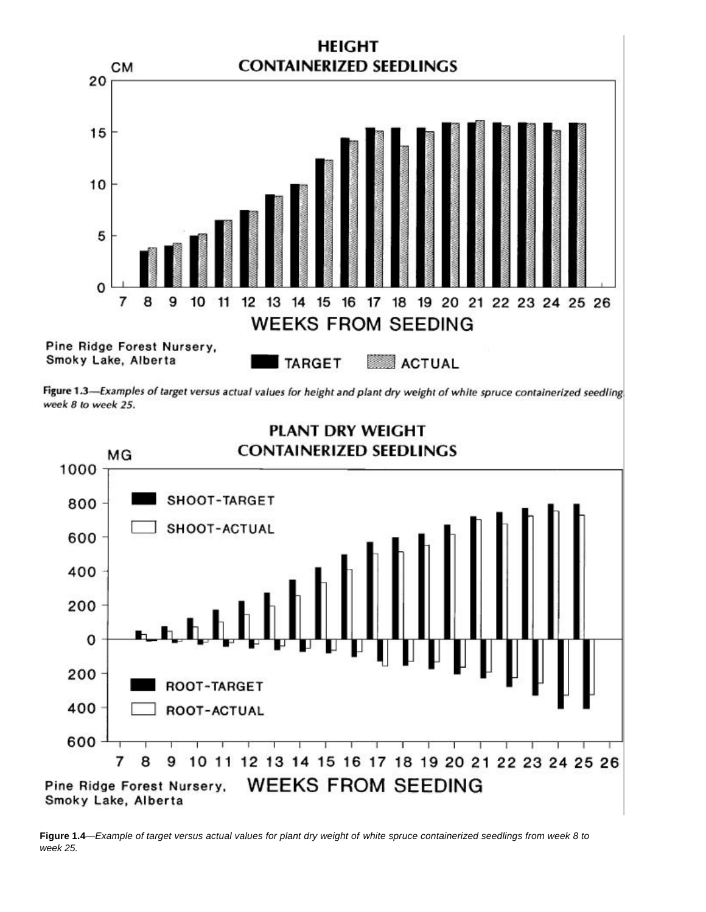

Figure 1.3-Examples of target versus actual values for height and plant dry weight of white spruce containerized seedling week 8 to week 25.



**Figure 1.4**—*Example of target versus actual values for plant dry weight of white spruce containerized seedlings from week 8 to week 25.*